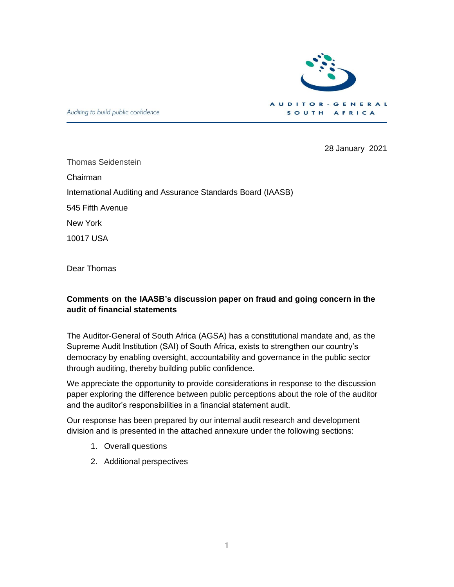

Auditing to build public confidence

28 January 2021

Thomas Seidenstein Chairman International Auditing and Assurance Standards Board (IAASB) 545 Fifth Avenue New York

10017 USA

Dear Thomas

#### **Comments on the IAASB's discussion paper on fraud and going concern in the audit of financial statements**

The Auditor-General of South Africa (AGSA) has a constitutional mandate and, as the Supreme Audit Institution (SAI) of South Africa, exists to strengthen our country's democracy by enabling oversight, accountability and governance in the public sector through auditing, thereby building public confidence.

We appreciate the opportunity to provide considerations in response to the discussion paper exploring the difference between public perceptions about the role of the auditor and the auditor's responsibilities in a financial statement audit.

Our response has been prepared by our internal audit research and development division and is presented in the attached annexure under the following sections:

- 1. Overall questions
- 2. Additional perspectives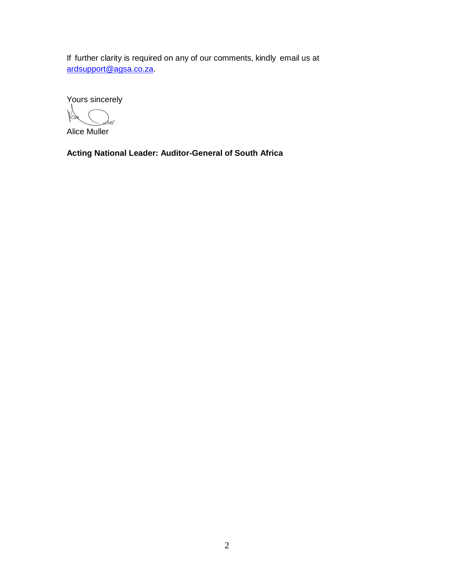If further clarity is required on any of our comments, kindly email us at [ardsupport@agsa.co.za.](mailto:ardsupport@agsa.co.za)

Yours sincerely

Alice Muller

**Acting National Leader: Auditor-General of South Africa**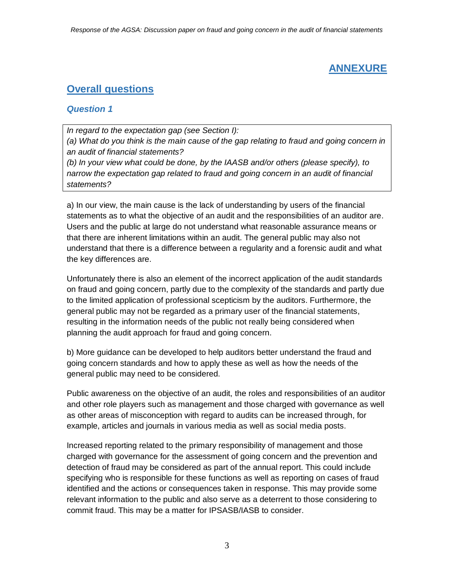# **ANNEXURE**

# **Overall questions**

#### *Question 1*

*In regard to the expectation gap (see Section I):*

*(a) What do you think is the main cause of the gap relating to fraud and going concern in an audit of financial statements?*

*(b) In your view what could be done, by the IAASB and/or others (please specify), to narrow the expectation gap related to fraud and going concern in an audit of financial statements?*

a) In our view, the main cause is the lack of understanding by users of the financial statements as to what the objective of an audit and the responsibilities of an auditor are. Users and the public at large do not understand what reasonable assurance means or that there are inherent limitations within an audit. The general public may also not understand that there is a difference between a regularity and a forensic audit and what the key differences are.

Unfortunately there is also an element of the incorrect application of the audit standards on fraud and going concern, partly due to the complexity of the standards and partly due to the limited application of professional scepticism by the auditors. Furthermore, the general public may not be regarded as a primary user of the financial statements, resulting in the information needs of the public not really being considered when planning the audit approach for fraud and going concern.

b) More guidance can be developed to help auditors better understand the fraud and going concern standards and how to apply these as well as how the needs of the general public may need to be considered.

Public awareness on the objective of an audit, the roles and responsibilities of an auditor and other role players such as management and those charged with governance as well as other areas of misconception with regard to audits can be increased through, for example, articles and journals in various media as well as social media posts.

Increased reporting related to the primary responsibility of management and those charged with governance for the assessment of going concern and the prevention and detection of fraud may be considered as part of the annual report. This could include specifying who is responsible for these functions as well as reporting on cases of fraud identified and the actions or consequences taken in response. This may provide some relevant information to the public and also serve as a deterrent to those considering to commit fraud. This may be a matter for IPSASB/IASB to consider.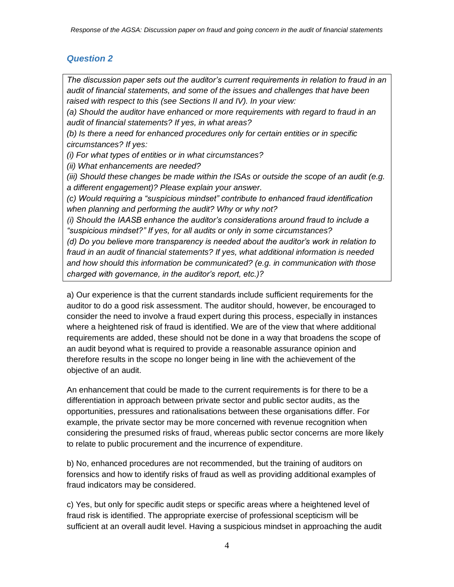## *Question 2*

*The discussion paper sets out the auditor's current requirements in relation to fraud in an audit of financial statements, and some of the issues and challenges that have been raised with respect to this (see Sections II and IV). In your view: (a) Should the auditor have enhanced or more requirements with regard to fraud in an audit of financial statements? If yes, in what areas? (b) Is there a need for enhanced procedures only for certain entities or in specific circumstances? If yes: (i) For what types of entities or in what circumstances? (ii) What enhancements are needed? (iii) Should these changes be made within the ISAs or outside the scope of an audit (e.g. a different engagement)? Please explain your answer. (c) Would requiring a "suspicious mindset" contribute to enhanced fraud identification when planning and performing the audit? Why or why not? (i) Should the IAASB enhance the auditor's considerations around fraud to include a "suspicious mindset?" If yes, for all audits or only in some circumstances? (d) Do you believe more transparency is needed about the auditor's work in relation to fraud in an audit of financial statements? If yes, what additional information is needed and how should this information be communicated? (e.g. in communication with those charged with governance, in the auditor's report, etc.)?*

a) Our experience is that the current standards include sufficient requirements for the auditor to do a good risk assessment. The auditor should, however, be encouraged to consider the need to involve a fraud expert during this process, especially in instances where a heightened risk of fraud is identified. We are of the view that where additional requirements are added, these should not be done in a way that broadens the scope of an audit beyond what is required to provide a reasonable assurance opinion and therefore results in the scope no longer being in line with the achievement of the objective of an audit.

An enhancement that could be made to the current requirements is for there to be a differentiation in approach between private sector and public sector audits, as the opportunities, pressures and rationalisations between these organisations differ. For example, the private sector may be more concerned with revenue recognition when considering the presumed risks of fraud, whereas public sector concerns are more likely to relate to public procurement and the incurrence of expenditure.

b) No, enhanced procedures are not recommended, but the training of auditors on forensics and how to identify risks of fraud as well as providing additional examples of fraud indicators may be considered.

c) Yes, but only for specific audit steps or specific areas where a heightened level of fraud risk is identified. The appropriate exercise of professional scepticism will be sufficient at an overall audit level. Having a suspicious mindset in approaching the audit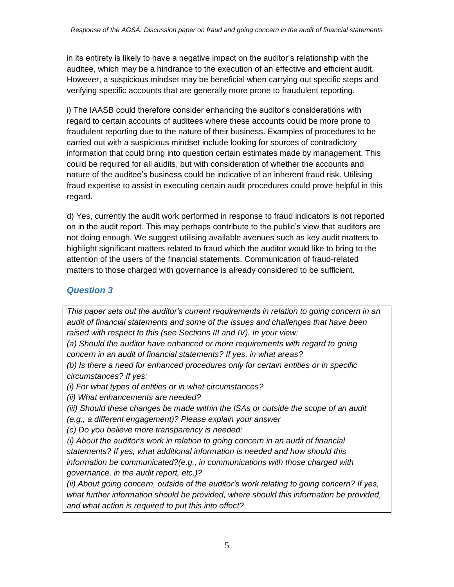in its entirety is likely to have a negative impact on the auditor's relationship with the auditee, which may be a hindrance to the execution of an effective and efficient audit. However, a suspicious mindset may be beneficial when carrying out specific steps and verifying specific accounts that are generally more prone to fraudulent reporting.

i) The IAASB could therefore consider enhancing the auditor's considerations with regard to certain accounts of auditees where these accounts could be more prone to fraudulent reporting due to the nature of their business. Examples of procedures to be carried out with a suspicious mindset include looking for sources of contradictory information that could bring into question certain estimates made by management. This could be required for all audits, but with consideration of whether the accounts and nature of the auditee's business could be indicative of an inherent fraud risk. Utilising fraud expertise to assist in executing certain audit procedures could prove helpful in this regard.

d) Yes, currently the audit work performed in response to fraud indicators is not reported on in the audit report. This may perhaps contribute to the public's view that auditors are not doing enough. We suggest utilising available avenues such as key audit matters to highlight significant matters related to fraud which the auditor would like to bring to the attention of the users of the financial statements. Communication of fraud-related matters to those charged with governance is already considered to be sufficient.

## *Question 3*

*This paper sets out the auditor's current requirements in relation to going concern in an audit of financial statements and some of the issues and challenges that have been raised with respect to this (see Sections III and IV). In your view:*

*(a) Should the auditor have enhanced or more requirements with regard to going concern in an audit of financial statements? If yes, in what areas?* 

*(b) Is there a need for enhanced procedures only for certain entities or in specific circumstances? If yes:*

*(i) For what types of entities or in what circumstances?*

*(ii) What enhancements are needed?*

*(iii) Should these changes be made within the ISAs or outside the scope of an audit* 

*(e.g., a different engagement)? Please explain your answer*

*(c) Do you believe more transparency is needed:*

*(i) About the auditor's work in relation to going concern in an audit of financial statements? If yes, what additional information is needed and how should this information be communicated?(e.g., in communications with those charged with governance, in the audit report, etc.)?*

*(ii) About going concern, outside of the auditor's work relating to going concern? If yes, what further information should be provided, where should this information be provided, and what action is required to put this into effect?*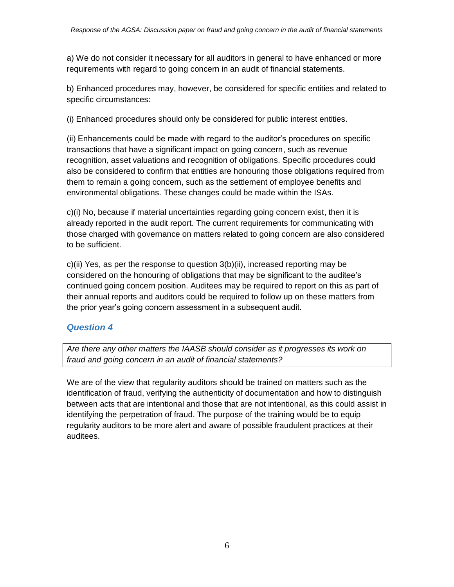a) We do not consider it necessary for all auditors in general to have enhanced or more requirements with regard to going concern in an audit of financial statements.

b) Enhanced procedures may, however, be considered for specific entities and related to specific circumstances:

(i) Enhanced procedures should only be considered for public interest entities.

(ii) Enhancements could be made with regard to the auditor's procedures on specific transactions that have a significant impact on going concern, such as revenue recognition, asset valuations and recognition of obligations. Specific procedures could also be considered to confirm that entities are honouring those obligations required from them to remain a going concern, such as the settlement of employee benefits and environmental obligations. These changes could be made within the ISAs.

c)(i) No, because if material uncertainties regarding going concern exist, then it is already reported in the audit report. The current requirements for communicating with those charged with governance on matters related to going concern are also considered to be sufficient.

c)(ii) Yes, as per the response to question 3(b)(ii), increased reporting may be considered on the honouring of obligations that may be significant to the auditee's continued going concern position. Auditees may be required to report on this as part of their annual reports and auditors could be required to follow up on these matters from the prior year's going concern assessment in a subsequent audit.

#### *Question 4*

*Are there any other matters the IAASB should consider as it progresses its work on fraud and going concern in an audit of financial statements?*

We are of the view that regularity auditors should be trained on matters such as the identification of fraud, verifying the authenticity of documentation and how to distinguish between acts that are intentional and those that are not intentional, as this could assist in identifying the perpetration of fraud. The purpose of the training would be to equip regularity auditors to be more alert and aware of possible fraudulent practices at their auditees.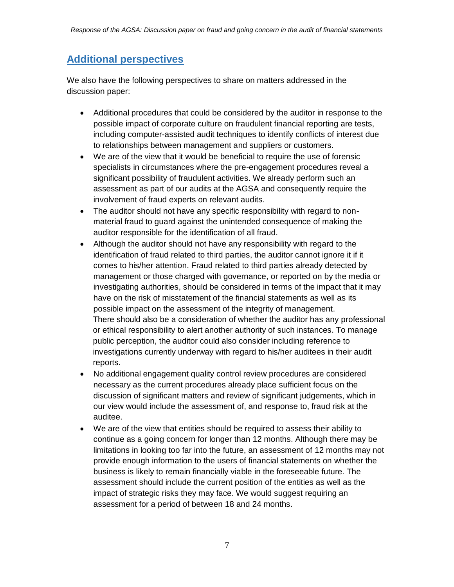## **Additional perspectives**

We also have the following perspectives to share on matters addressed in the discussion paper:

- Additional procedures that could be considered by the auditor in response to the possible impact of corporate culture on fraudulent financial reporting are tests, including computer-assisted audit techniques to identify conflicts of interest due to relationships between management and suppliers or customers.
- We are of the view that it would be beneficial to require the use of forensic specialists in circumstances where the pre-engagement procedures reveal a significant possibility of fraudulent activities. We already perform such an assessment as part of our audits at the AGSA and consequently require the involvement of fraud experts on relevant audits.
- The auditor should not have any specific responsibility with regard to nonmaterial fraud to guard against the unintended consequence of making the auditor responsible for the identification of all fraud.
- Although the auditor should not have any responsibility with regard to the identification of fraud related to third parties, the auditor cannot ignore it if it comes to his/her attention. Fraud related to third parties already detected by management or those charged with governance, or reported on by the media or investigating authorities, should be considered in terms of the impact that it may have on the risk of misstatement of the financial statements as well as its possible impact on the assessment of the integrity of management. There should also be a consideration of whether the auditor has any professional or ethical responsibility to alert another authority of such instances. To manage public perception, the auditor could also consider including reference to investigations currently underway with regard to his/her auditees in their audit reports.
- No additional engagement quality control review procedures are considered necessary as the current procedures already place sufficient focus on the discussion of significant matters and review of significant judgements, which in our view would include the assessment of, and response to, fraud risk at the auditee.
- We are of the view that entities should be required to assess their ability to continue as a going concern for longer than 12 months. Although there may be limitations in looking too far into the future, an assessment of 12 months may not provide enough information to the users of financial statements on whether the business is likely to remain financially viable in the foreseeable future. The assessment should include the current position of the entities as well as the impact of strategic risks they may face. We would suggest requiring an assessment for a period of between 18 and 24 months.